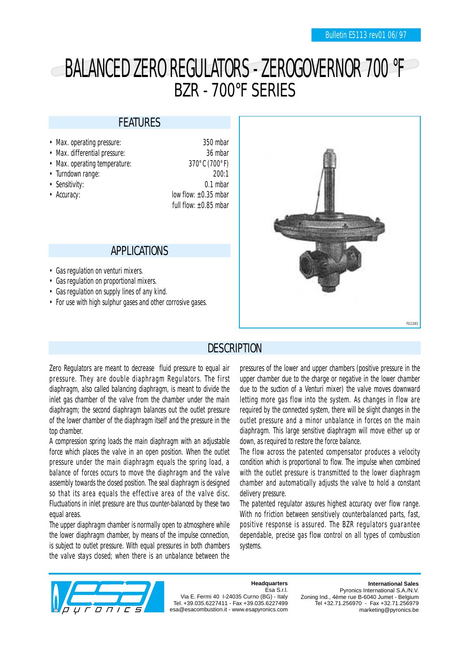# BALANCED ZERO REGULATORS - ZEROGOVERNOR 700 °F BZR - 700°F SERIES

### FEATURES

- Max. operating pressure: 350 mbar
- Max. differential pressure: 36 mbar
- Max. operating temperature: 370°C (700°F)
- 
- 
- 

• Turndown range: 200:1 • Sensitivity: 0.1 mbar • Accuracy:  $\blacksquare$  low flow:  $\pm 0.35$  mbar full flow:  $+0.85$  mbar

### APPLICATIONS

- Gas regulation on venturi mixers.
- Gas regulation on proportional mixers.
- Gas regulation on supply lines of any kind.
- For use with high sulphur gases and other corrosive gases.



### **DESCRIPTION**

Zero Regulators are meant to decrease fluid pressure to equal air pressure. They are double diaphragm Regulators. The first diaphragm, also called balancing diaphragm, is meant to divide the inlet gas chamber of the valve from the chamber under the main diaphragm; the second diaphragm balances out the outlet pressure of the lower chamber of the diaphragm itself and the pressure in the top chamber.

A compression spring loads the main diaphragm with an adjustable force which places the valve in an open position. When the outlet pressure under the main diaphragm equals the spring load, a balance of forces occurs to move the diaphragm and the valve assembly towards the closed position. The seal diaphragm is designed so that its area equals the effective area of the valve disc. Fluctuations in inlet pressure are thus counter-balanced by these two equal areas.

The upper diaphragm chamber is normally open to atmosphere while the lower diaphragm chamber, by means of the impulse connection, is subject to outlet pressure. With equal pressures in both chambers the valve stays closed; when there is an unbalance between the

pressures of the lower and upper chambers (positive pressure in the upper chamber due to the charge or negative in the lower chamber due to the suction of a Venturi mixer) the valve moves downward letting more gas flow into the system. As changes in flow are required by the connected system, there will be slight changes in the outlet pressure and a minor unbalance in forces on the main diaphragm. This large sensitive diaphragm will move either up or down, as required to restore the force balance.

The flow across the patented compensator produces a velocity condition which is proportional to flow. The impulse when combined with the outlet pressure is transmitted to the lower diaphragm chamber and automatically adjusts the valve to hold a constant delivery pressure.

The patented regulator assures highest accuracy over flow range. With no friction between sensitively counterbalanced parts, fast, positive response is assured. The BZR regulators guarantee dependable, precise gas flow control on all types of combustion systems.



#### **Headquarters** Esa S.r.l.

Via E. Fermi 40 I-24035 Curno (BG) - Italy Tel. +39.035.6227411 - Fax +39.035.6227499 esa@esacombustion.it - www.esapyronics.com

**International Sales** Pyronics International S.A./N.V. Zoning Ind., 4ème rue B-6040 Jumet - Belgium Tel +32.71.256970 - Fax +32.71.256979 marketing@pyronics.be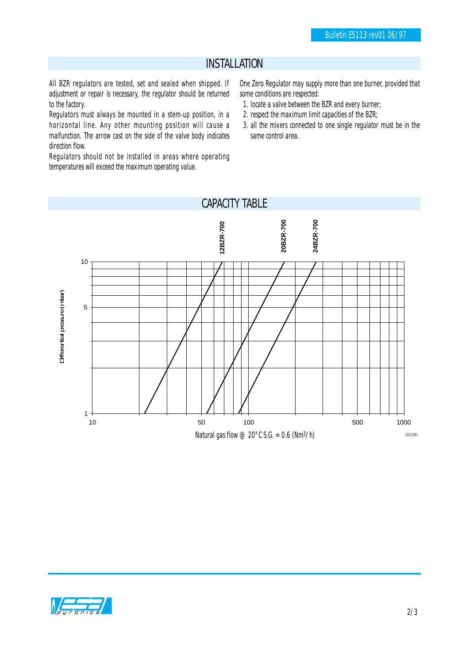### INSTALLATION

All BZR regulators are tested, set and sealed when shipped. If adjustment or repair is necessary, the regulator should be returned to the factory.

Regulators must always be mounted in a stem-up position, in a horizontal line. Any other mounting position will cause a malfunction. The arrow cast on the side of the valve body indicates direction flow.

Regulators should not be installed in areas where operating temperatures will exceed the maximum operating value.

One Zero Regulator may supply more than one burner, provided that some conditions are respected:

- 1. locate a valve between the BZR and every burner;
- 2. respect the maximum limit capacities of the BZR;
- 3. all the mixers connected to one single regulator must be in the same control area.